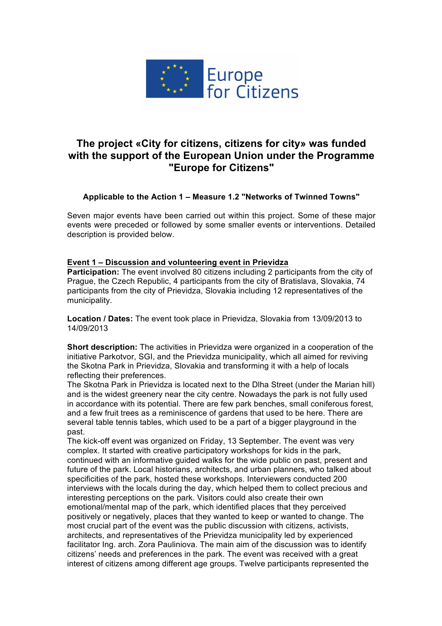

# **The project «City for citizens, citizens for city» was funded with the support of the European Union under the Programme "Europe for Citizens"**

# **Applicable to the Action 1 – Measure 1.2 "Networks of Twinned Towns"**

Seven major events have been carried out within this project. Some of these major events were preceded or followed by some smaller events or interventions. Detailed description is provided below.

# **Event 1 – Discussion and volunteering event in Prievidza**

**Participation:** The event involved 80 citizens including 2 participants from the city of Prague, the Czech Republic, 4 participants from the city of Bratislava, Slovakia, 74 participants from the city of Prievidza, Slovakia including 12 representatives of the municipality.

**Location / Dates:** The event took place in Prievidza, Slovakia from 13/09/2013 to 14/09/2013

**Short description:** The activities in Prievidza were organized in a cooperation of the initiative Parkotvor, SGI, and the Prievidza municipality, which all aimed for reviving the Skotna Park in Prievidza, Slovakia and transforming it with a help of locals reflecting their preferences.

The Skotna Park in Prievidza is located next to the Dlha Street (under the Marian hill) and is the widest greenery near the city centre. Nowadays the park is not fully used in accordance with its potential. There are few park benches, small coniferous forest, and a few fruit trees as a reminiscence of gardens that used to be here. There are several table tennis tables, which used to be a part of a bigger playground in the past.

The kick-off event was organized on Friday, 13 September. The event was very complex. It started with creative participatory workshops for kids in the park, continued with an informative guided walks for the wide public on past, present and future of the park. Local historians, architects, and urban planners, who talked about specificities of the park, hosted these workshops. Interviewers conducted 200 interviews with the locals during the day, which helped them to collect precious and interesting perceptions on the park. Visitors could also create their own emotional/mental map of the park, which identified places that they perceived positively or negatively, places that they wanted to keep or wanted to change. The most crucial part of the event was the public discussion with citizens, activists, architects, and representatives of the Prievidza municipality led by experienced facilitator Ing. arch. Zora Pauliniova. The main aim of the discussion was to identify citizens' needs and preferences in the park. The event was received with a great interest of citizens among different age groups. Twelve participants represented the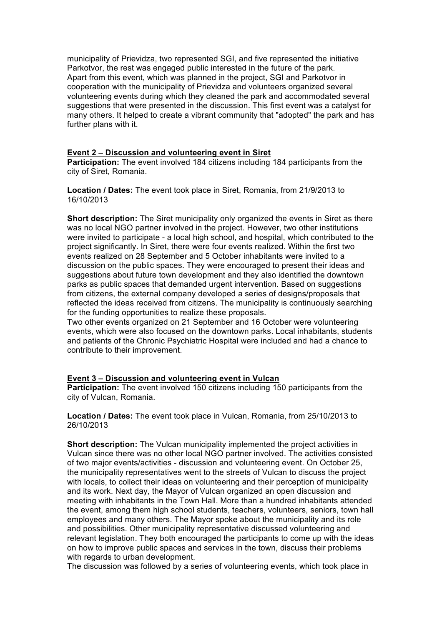municipality of Prievidza, two represented SGI, and five represented the initiative Parkotvor, the rest was engaged public interested in the future of the park. Apart from this event, which was planned in the project, SGI and Parkotvor in cooperation with the municipality of Prievidza and volunteers organized several volunteering events during which they cleaned the park and accommodated several suggestions that were presented in the discussion. This first event was a catalyst for many others. It helped to create a vibrant community that "adopted" the park and has further plans with it.

# **Event 2 – Discussion and volunteering event in Siret**

**Participation:** The event involved 184 citizens including 184 participants from the city of Siret, Romania.

**Location / Dates:** The event took place in Siret, Romania, from 21/9/2013 to 16/10/2013

**Short description:** The Siret municipality only organized the events in Siret as there was no local NGO partner involved in the project. However, two other institutions were invited to participate - a local high school, and hospital, which contributed to the project significantly. In Siret, there were four events realized. Within the first two events realized on 28 September and 5 October inhabitants were invited to a discussion on the public spaces. They were encouraged to present their ideas and suggestions about future town development and they also identified the downtown parks as public spaces that demanded urgent intervention. Based on suggestions from citizens, the external company developed a series of designs/proposals that reflected the ideas received from citizens. The municipality is continuously searching for the funding opportunities to realize these proposals.

Two other events organized on 21 September and 16 October were volunteering events, which were also focused on the downtown parks. Local inhabitants, students and patients of the Chronic Psychiatric Hospital were included and had a chance to contribute to their improvement.

## **Event 3 – Discussion and volunteering event in Vulcan**

**Participation:** The event involved 150 citizens including 150 participants from the city of Vulcan, Romania.

**Location / Dates:** The event took place in Vulcan, Romania, from 25/10/2013 to 26/10/2013

**Short description:** The Vulcan municipality implemented the project activities in Vulcan since there was no other local NGO partner involved. The activities consisted of two major events/activities - discussion and volunteering event. On October 25, the municipality representatives went to the streets of Vulcan to discuss the project with locals, to collect their ideas on volunteering and their perception of municipality and its work. Next day, the Mayor of Vulcan organized an open discussion and meeting with inhabitants in the Town Hall. More than a hundred inhabitants attended the event, among them high school students, teachers, volunteers, seniors, town hall employees and many others. The Mayor spoke about the municipality and its role and possibilities. Other municipality representative discussed volunteering and relevant legislation. They both encouraged the participants to come up with the ideas on how to improve public spaces and services in the town, discuss their problems with regards to urban development.

The discussion was followed by a series of volunteering events, which took place in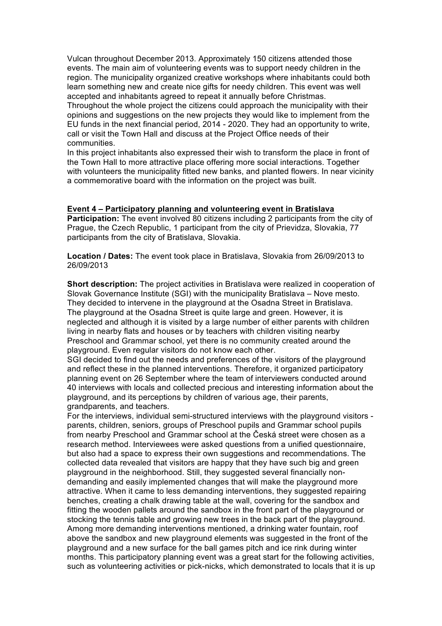Vulcan throughout December 2013. Approximately 150 citizens attended those events. The main aim of volunteering events was to support needy children in the region. The municipality organized creative workshops where inhabitants could both learn something new and create nice gifts for needy children. This event was well accepted and inhabitants agreed to repeat it annually before Christmas.

Throughout the whole project the citizens could approach the municipality with their opinions and suggestions on the new projects they would like to implement from the EU funds in the next financial period, 2014 - 2020. They had an opportunity to write, call or visit the Town Hall and discuss at the Project Office needs of their communities.

In this project inhabitants also expressed their wish to transform the place in front of the Town Hall to more attractive place offering more social interactions. Together with volunteers the municipality fitted new banks, and planted flowers. In near vicinity a commemorative board with the information on the project was built.

## **Event 4 – Participatory planning and volunteering event in Bratislava**

**Participation:** The event involved 80 citizens including 2 participants from the city of Prague, the Czech Republic, 1 participant from the city of Prievidza, Slovakia, 77 participants from the city of Bratislava, Slovakia.

**Location / Dates:** The event took place in Bratislava, Slovakia from 26/09/2013 to 26/09/2013

**Short description:** The project activities in Bratislava were realized in cooperation of Slovak Governance Institute (SGI) with the municipality Bratislava – Nove mesto. They decided to intervene in the playground at the Osadna Street in Bratislava. The playground at the Osadna Street is quite large and green. However, it is neglected and although it is visited by a large number of either parents with children living in nearby flats and houses or by teachers with children visiting nearby Preschool and Grammar school, yet there is no community created around the playground. Even regular visitors do not know each other.

SGI decided to find out the needs and preferences of the visitors of the playground and reflect these in the planned interventions. Therefore, it organized participatory planning event on 26 September where the team of interviewers conducted around 40 interviews with locals and collected precious and interesting information about the playground, and its perceptions by children of various age, their parents, grandparents, and teachers.

For the interviews, individual semi-structured interviews with the playground visitors parents, children, seniors, groups of Preschool pupils and Grammar school pupils from nearby Preschool and Grammar school at the Česká street were chosen as a research method. Interviewees were asked questions from a unified questionnaire, but also had a space to express their own suggestions and recommendations. The collected data revealed that visitors are happy that they have such big and green playground in the neighborhood. Still, they suggested several financially nondemanding and easily implemented changes that will make the playground more attractive. When it came to less demanding interventions, they suggested repairing benches, creating a chalk drawing table at the wall, covering for the sandbox and fitting the wooden pallets around the sandbox in the front part of the playground or stocking the tennis table and growing new trees in the back part of the playground. Among more demanding interventions mentioned, a drinking water fountain, roof above the sandbox and new playground elements was suggested in the front of the playground and a new surface for the ball games pitch and ice rink during winter months. This participatory planning event was a great start for the following activities, such as volunteering activities or pick-nicks, which demonstrated to locals that it is up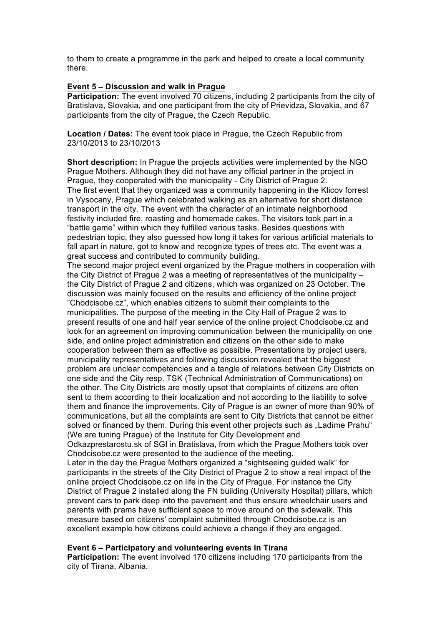to them to create a programme in the park and helped to create a local community there.

### **Event 5 – Discussion and walk in Prague**

**Participation:** The event involved 70 citizens, including 2 participants from the city of Bratislava, Slovakia, and one participant from the city of Prievidza, Slovakia, and 67 participants from the city of Prague, the Czech Republic.

**Location / Dates:** The event took place in Prague, the Czech Republic from 23/10/2013 to 23/10/2013

**Short description:** In Prague the projects activities were implemented by the NGO Prague Mothers. Although they did not have any official partner in the project in Prague, they cooperated with the municipality - City District of Prague 2. The first event that they organized was a community happening in the Klicov forrest in Vysocany, Prague which celebrated walking as an alternative for short distance transport in the city. The event with the character of an intimate neighborhood festivity included fire, roasting and homemade cakes. The visitors took part in a "battle game" within which they fulfilled various tasks. Besides questions with pedestrian topic, they also guessed how long it takes for various artificial materials to fall apart in nature, got to know and recognize types of trees etc. The event was a great success and contributed to community building.

The second major project event organized by the Prague mothers in cooperation with the City District of Prague 2 was a meeting of representatives of the municipality – the City District of Prague 2 and citizens, which was organized on 23 October. The discussion was mainly focused on the results and efficiency of the online project "Chodcisobe.cz", which enables citizens to submit their complaints to the municipalities. The purpose of the meeting in the City Hall of Prague 2 was to present results of one and half year service of the online project Chodcisobe.cz and look for an agreement on improving communication between the municipality on one side, and online project administration and citizens on the other side to make cooperation between them as effective as possible. Presentations by project users, municipality representatives and following discussion revealed that the biggest problem are unclear competencies and a tangle of relations between City Districts on one side and the City resp. TSK (Technical Administration of Communications) on the other. The City Districts are mostly upset that complaints of citizens are often sent to them according to their localization and not according to the liability to solve them and finance the improvements. City of Prague is an owner of more than 90% of communications, but all the complaints are sent to City Districts that cannot be either solved or financed by them. During this event other projects such as "Ladíme Prahu" (We are tuning Prague) of the Institute for City Development and

Odkazprestarostu.sk of SGI in Bratislava, from which the Prague Mothers took over Chodcisobe.cz were presented to the audience of the meeting.

Later in the day the Prague Mothers organized a "sightseeing guided walk" for participants in the streets of the City District of Prague 2 to show a real impact of the online project Chodcisobe.cz on life in the City of Prague. For instance the City District of Prague 2 installed along the FN building (University Hospital) pillars, which prevent cars to park deep into the pavement and thus ensure wheelchair users and parents with prams have sufficient space to move around on the sidewalk. This measure based on citizens' complaint submitted through Chodcisobe.cz is an excellent example how citizens could achieve a change if they are engaged.

#### **Event 6 – Participatory and volunteering events in Tirana**

**Participation:** The event involved 170 citizens including 170 participants from the city of Tirana, Albania.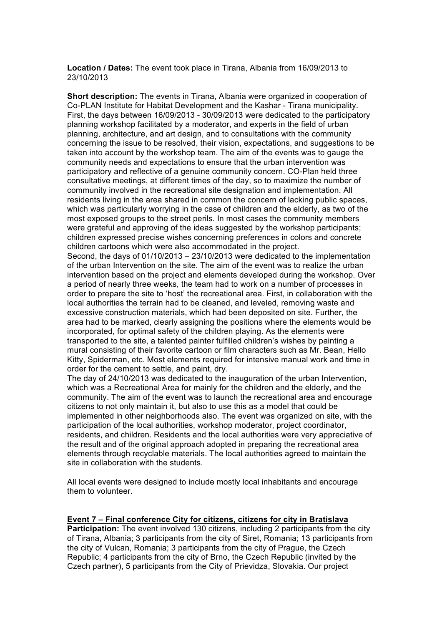**Location / Dates:** The event took place in Tirana, Albania from 16/09/2013 to 23/10/2013

**Short description:** The events in Tirana, Albania were organized in cooperation of Co-PLAN Institute for Habitat Development and the Kashar - Tirana municipality. First, the days between 16/09/2013 - 30/09/2013 were dedicated to the participatory planning workshop facilitated by a moderator, and experts in the field of urban planning, architecture, and art design, and to consultations with the community concerning the issue to be resolved, their vision, expectations, and suggestions to be taken into account by the workshop team. The aim of the events was to gauge the community needs and expectations to ensure that the urban intervention was participatory and reflective of a genuine community concern. CO-Plan held three consultative meetings, at different times of the day, so to maximize the number of community involved in the recreational site designation and implementation. All residents living in the area shared in common the concern of lacking public spaces, which was particularly worrying in the case of children and the elderly, as two of the most exposed groups to the street perils. In most cases the community members were grateful and approving of the ideas suggested by the workshop participants; children expressed precise wishes concerning preferences in colors and concrete children cartoons which were also accommodated in the project. Second, the days of 01/10/2013 – 23/10/2013 were dedicated to the implementation of the urban Intervention on the site. The aim of the event was to realize the urban intervention based on the project and elements developed during the workshop. Over a period of nearly three weeks, the team had to work on a number of processes in order to prepare the site to 'host' the recreational area. First, in collaboration with the local authorities the terrain had to be cleaned, and leveled, removing waste and excessive construction materials, which had been deposited on site. Further, the area had to be marked, clearly assigning the positions where the elements would be incorporated, for optimal safety of the children playing. As the elements were transported to the site, a talented painter fulfilled children's wishes by painting a

mural consisting of their favorite cartoon or film characters such as Mr. Bean, Hello Kitty, Spiderman, etc. Most elements required for intensive manual work and time in order for the cement to settle, and paint, dry.

The day of 24/10/2013 was dedicated to the inauguration of the urban Intervention, which was a Recreational Area for mainly for the children and the elderly, and the community. The aim of the event was to launch the recreational area and encourage citizens to not only maintain it, but also to use this as a model that could be implemented in other neighborhoods also. The event was organized on site, with the participation of the local authorities, workshop moderator, project coordinator, residents, and children. Residents and the local authorities were very appreciative of the result and of the original approach adopted in preparing the recreational area elements through recyclable materials. The local authorities agreed to maintain the site in collaboration with the students.

All local events were designed to include mostly local inhabitants and encourage them to volunteer.

## **Event 7 – Final conference City for citizens, citizens for city in Bratislava**

**Participation:** The event involved 130 citizens, including 2 participants from the city of Tirana, Albania; 3 participants from the city of Siret, Romania; 13 participants from the city of Vulcan, Romania; 3 participants from the city of Prague, the Czech Republic; 4 participants from the city of Brno, the Czech Republic (invited by the Czech partner), 5 participants from the City of Prievidza, Slovakia. Our project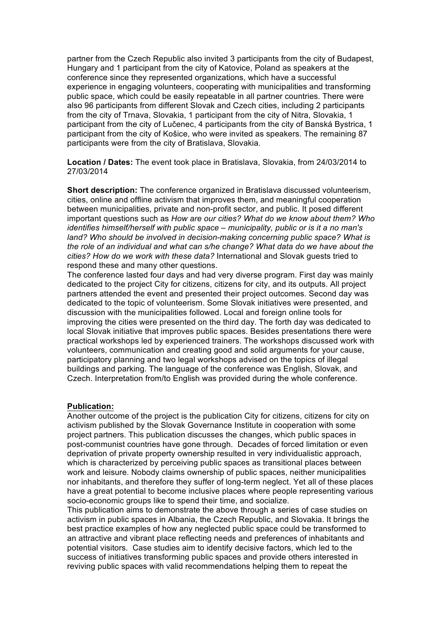partner from the Czech Republic also invited 3 participants from the city of Budapest, Hungary and 1 participant from the city of Katovice, Poland as speakers at the conference since they represented organizations, which have a successful experience in engaging volunteers, cooperating with municipalities and transforming public space, which could be easily repeatable in all partner countries. There were also 96 participants from different Slovak and Czech cities, including 2 participants from the city of Trnava, Slovakia, 1 participant from the city of Nitra, Slovakia, 1 participant from the city of Lučenec, 4 participants from the city of Banská Bystrica, 1 participant from the city of Košice, who were invited as speakers. The remaining 87 participants were from the city of Bratislava, Slovakia.

**Location / Dates:** The event took place in Bratislava, Slovakia, from 24/03/2014 to 27/03/2014

**Short description:** The conference organized in Bratislava discussed volunteerism, cities, online and offline activism that improves them, and meaningful cooperation between municipalities, private and non-profit sector, and public. It posed different important questions such as *How are our cities? What do we know about them? Who identifies himself/herself with public space – municipality, public or is it a no man's land? Who should be involved in decision-making concerning public space? What is the role of an individual and what can s/he change? What data do we have about the cities? How do we work with these data?* International and Slovak guests tried to respond these and many other questions.

The conference lasted four days and had very diverse program. First day was mainly dedicated to the project City for citizens, citizens for city, and its outputs. All project partners attended the event and presented their project outcomes. Second day was dedicated to the topic of volunteerism. Some Slovak initiatives were presented, and discussion with the municipalities followed. Local and foreign online tools for improving the cities were presented on the third day. The forth day was dedicated to local Slovak initiative that improves public spaces. Besides presentations there were practical workshops led by experienced trainers. The workshops discussed work with volunteers, communication and creating good and solid arguments for your cause, participatory planning and two legal workshops advised on the topics of illegal buildings and parking. The language of the conference was English, Slovak, and Czech. Interpretation from/to English was provided during the whole conference.

#### **Publication:**

Another outcome of the project is the publication City for citizens, citizens for city on activism published by the Slovak Governance Institute in cooperation with some project partners. This publication discusses the changes, which public spaces in post-communist countries have gone through. Decades of forced limitation or even deprivation of private property ownership resulted in very individualistic approach, which is characterized by perceiving public spaces as transitional places between work and leisure. Nobody claims ownership of public spaces, neither municipalities nor inhabitants, and therefore they suffer of long-term neglect. Yet all of these places have a great potential to become inclusive places where people representing various socio-economic groups like to spend their time, and socialize.

This publication aims to demonstrate the above through a series of case studies on activism in public spaces in Albania, the Czech Republic, and Slovakia. It brings the best practice examples of how any neglected public space could be transformed to an attractive and vibrant place reflecting needs and preferences of inhabitants and potential visitors. Case studies aim to identify decisive factors, which led to the success of initiatives transforming public spaces and provide others interested in reviving public spaces with valid recommendations helping them to repeat the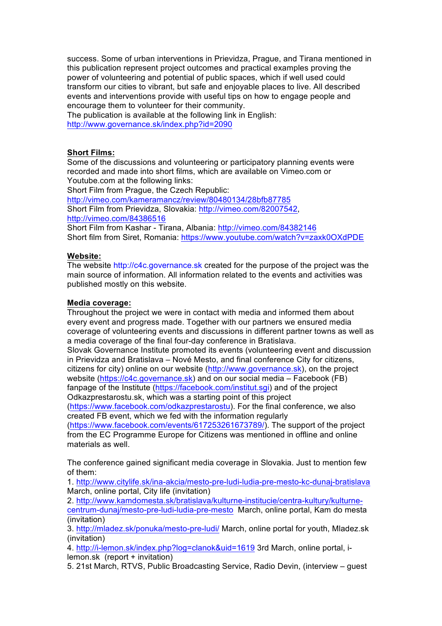success. Some of urban interventions in Prievidza, Prague, and Tirana mentioned in this publication represent project outcomes and practical examples proving the power of volunteering and potential of public spaces, which if well used could transform our cities to vibrant, but safe and enjoyable places to live. All described events and interventions provide with useful tips on how to engage people and encourage them to volunteer for their community.

The publication is available at the following link in English: http://www.governance.sk/index.php?id=2090

# **Short Films:**

Some of the discussions and volunteering or participatory planning events were recorded and made into short films, which are available on Vimeo.com or Youtube.com at the following links:

Short Film from Prague, the Czech Republic:

http://vimeo.com/kameramancz/review/80480134/28bfb87785 Short Film from Prievidza, Slovakia: http://vimeo.com/82007542, http://vimeo.com/84386516

Short Film from Kashar - Tirana, Albania: http://vimeo.com/84382146 Short film from Siret, Romania: https://www.youtube.com/watch?v=zaxk0OXdPDE

# **Website:**

The website http://c4c.governance.sk created for the purpose of the project was the main source of information. All information related to the events and activities was published mostly on this website.

# **Media coverage:**

Throughout the project we were in contact with media and informed them about every event and progress made. Together with our partners we ensured media coverage of volunteering events and discussions in different partner towns as well as a media coverage of the final four-day conference in Bratislava. Slovak Governance Institute promoted its events (volunteering event and discussion in Prievidza and Bratislava – Nové Mesto, and final conference City for citizens, citizens for city) online on our website (http://www.governance.sk), on the project website (https://c4c.governance.sk) and on our social media – Facebook (FB) fanpage of the Institute (https://facebook.com/institut.sgi) and of the project Odkazprestarostu.sk, which was a starting point of this project (https://www.facebook.com/odkazprestarostu). For the final conference, we also created FB event, which we fed with the information regularly (https://www.facebook.com/events/617253261673789/). The support of the project from the EC Programme Europe for Citizens was mentioned in offline and online materials as well.

The conference gained significant media coverage in Slovakia. Just to mention few of them:

1. http://www.citylife.sk/ina-akcia/mesto-pre-ludi-ludia-pre-mesto-kc-dunaj-bratislava March, online portal, City life (invitation)

2. http://www.kamdomesta.sk/bratislava/kulturne-institucie/centra-kultury/kulturnecentrum-dunaj/mesto-pre-ludi-ludia-pre-mesto March, online portal, Kam do mesta (invitation)

3. http://mladez.sk/ponuka/mesto-pre-ludi/ March, online portal for youth, Mladez.sk (invitation)

4. http://i-lemon.sk/index.php?log=clanok&uid=1619 3rd March, online portal, ilemon.sk (report + invitation)

5. 21st March, RTVS, Public Broadcasting Service, Radio Devin, (interview – guest